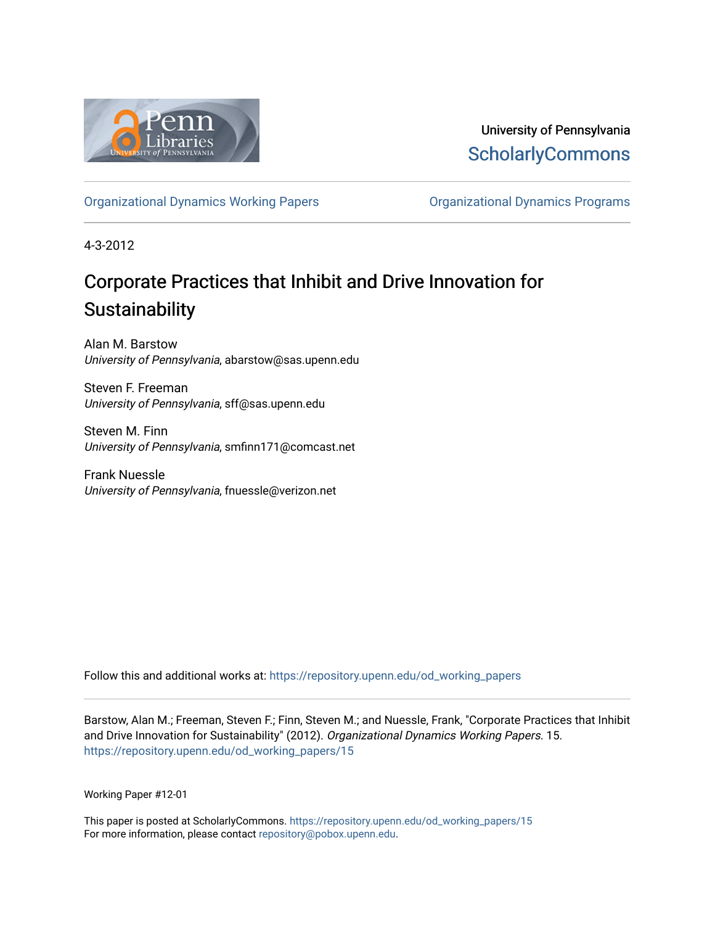

University of Pennsylvania **ScholarlyCommons** 

[Organizational Dynamics Working Papers](https://repository.upenn.edu/od_working_papers) [Organizational Dynamics Programs](https://repository.upenn.edu/organizational_dynamics) 

4-3-2012

# Corporate Practices that Inhibit and Drive Innovation for **Sustainability**

Alan M. Barstow University of Pennsylvania, abarstow@sas.upenn.edu

Steven F. Freeman University of Pennsylvania, sff@sas.upenn.edu

Steven M. Finn University of Pennsylvania, smfinn171@comcast.net

Frank Nuessle University of Pennsylvania, fnuessle@verizon.net

Follow this and additional works at: [https://repository.upenn.edu/od\\_working\\_papers](https://repository.upenn.edu/od_working_papers?utm_source=repository.upenn.edu%2Fod_working_papers%2F15&utm_medium=PDF&utm_campaign=PDFCoverPages) 

Barstow, Alan M.; Freeman, Steven F.; Finn, Steven M.; and Nuessle, Frank, "Corporate Practices that Inhibit and Drive Innovation for Sustainability" (2012). Organizational Dynamics Working Papers. 15. [https://repository.upenn.edu/od\\_working\\_papers/15](https://repository.upenn.edu/od_working_papers/15?utm_source=repository.upenn.edu%2Fod_working_papers%2F15&utm_medium=PDF&utm_campaign=PDFCoverPages)

Working Paper #12-01

This paper is posted at ScholarlyCommons. [https://repository.upenn.edu/od\\_working\\_papers/15](https://repository.upenn.edu/od_working_papers/15) For more information, please contact [repository@pobox.upenn.edu.](mailto:repository@pobox.upenn.edu)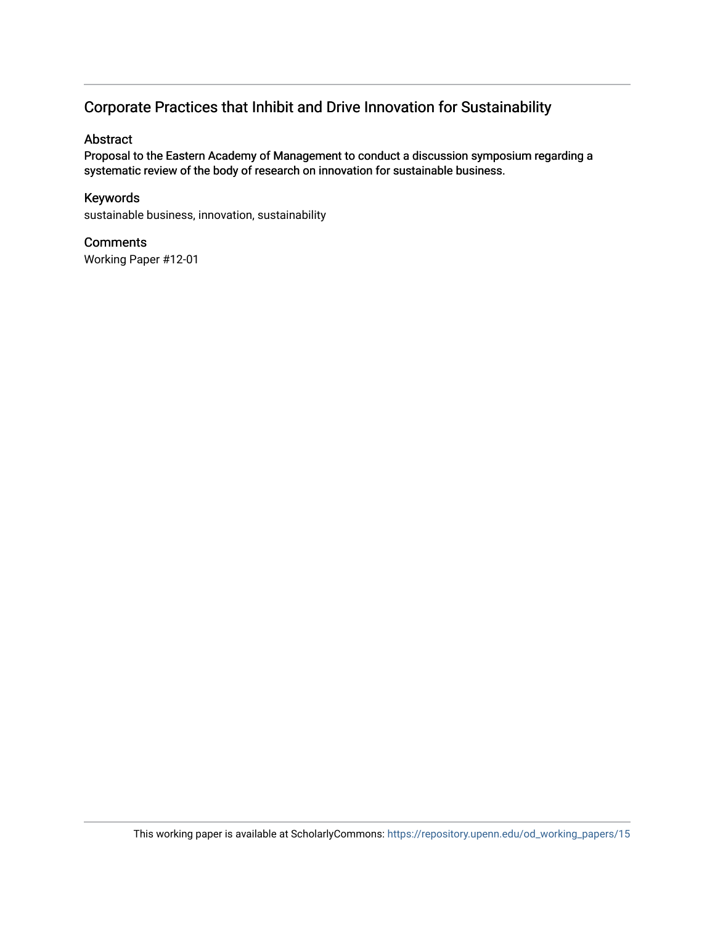### Corporate Practices that Inhibit and Drive Innovation for Sustainability

#### Abstract

Proposal to the Eastern Academy of Management to conduct a discussion symposium regarding a systematic review of the body of research on innovation for sustainable business.

#### Keywords

sustainable business, innovation, sustainability

#### **Comments**

Working Paper #12-01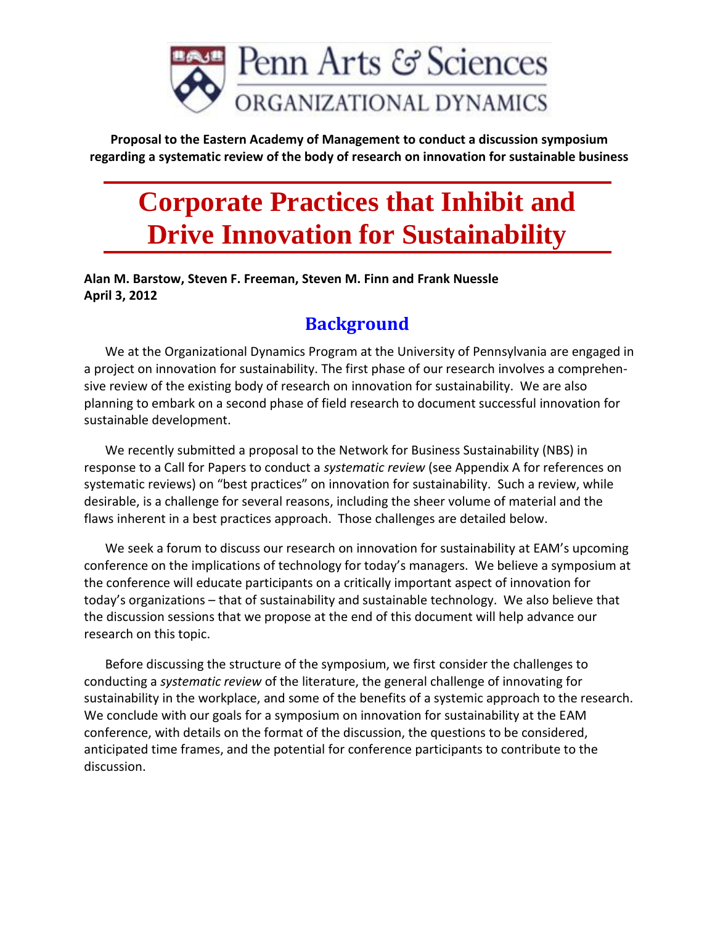

**Proposal to the Eastern Academy of Management to conduct a discussion symposium regarding a systematic review of the body of research on innovation for sustainable business**

# **Corporate Practices that Inhibit and Drive Innovation for Sustainability**

**Alan M. Barstow, Steven F. Freeman, Steven M. Finn and Frank Nuessle April 3, 2012**

# **Background**

We at the Organizational Dynamics Program at the University of Pennsylvania are engaged in a project on innovation for sustainability. The first phase of our research involves a comprehensive review of the existing body of research on innovation for sustainability. We are also planning to embark on a second phase of field research to document successful innovation for sustainable development.

We recently submitted a proposal to the Network for Business Sustainability (NBS) in response to a Call for Papers to conduct a *systematic review* (see Appendix A for references on systematic reviews) on "best practices" on innovation for sustainability. Such a review, while desirable, is a challenge for several reasons, including the sheer volume of material and the flaws inherent in a best practices approach. Those challenges are detailed below.

We seek a forum to discuss our research on innovation for sustainability at EAM's upcoming conference on the implications of technology for today's managers. We believe a symposium at the conference will educate participants on a critically important aspect of innovation for today's organizations – that of sustainability and sustainable technology. We also believe that the discussion sessions that we propose at the end of this document will help advance our research on this topic.

Before discussing the structure of the symposium, we first consider the challenges to conducting a *systematic review* of the literature, the general challenge of innovating for sustainability in the workplace, and some of the benefits of a systemic approach to the research. We conclude with our goals for a symposium on innovation for sustainability at the EAM conference, with details on the format of the discussion, the questions to be considered, anticipated time frames, and the potential for conference participants to contribute to the discussion.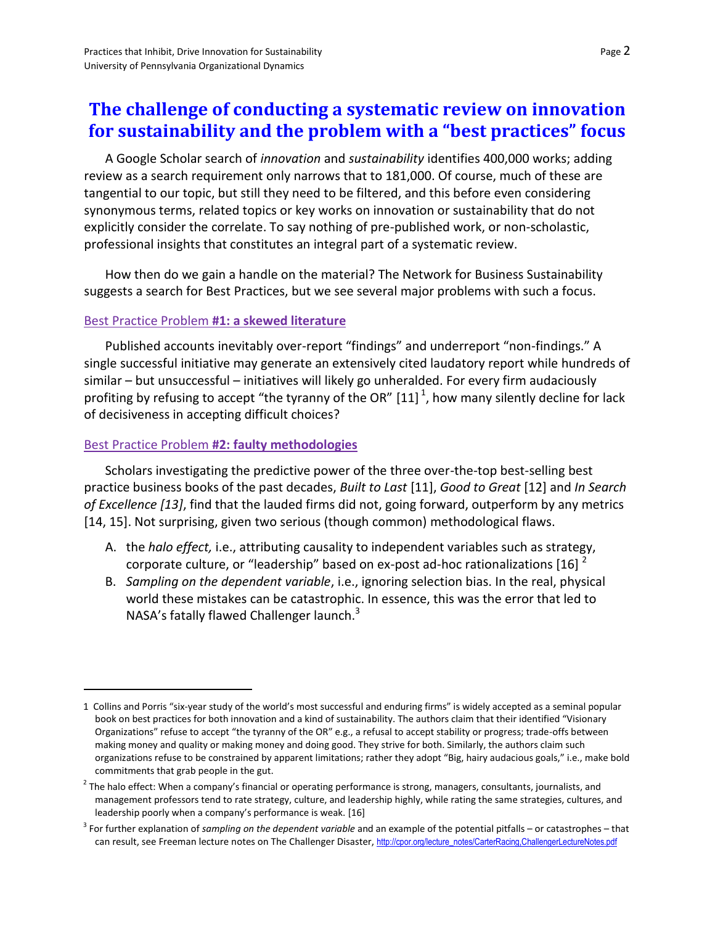### **The challenge of conducting a systematic review on innovation for sustainability and the problem with a "best practices" focus**

A Google Scholar search of *innovation* and *sustainability* identifies 400,000 works; adding review as a search requirement only narrows that to 181,000. Of course, much of these are tangential to our topic, but still they need to be filtered, and this before even considering synonymous terms, related topics or key works on innovation or sustainability that do not explicitly consider the correlate. To say nothing of pre-published work, or non-scholastic, professional insights that constitutes an integral part of a systematic review.

How then do we gain a handle on the material? The Network for Business Sustainability suggests a search for Best Practices, but we see several major problems with such a focus.

#### Best Practice Problem **#1: a skewed literature**

Published accounts inevitably over-report "findings" and underreport "non-findings." A single successful initiative may generate an extensively cited laudatory report while hundreds of similar – but unsuccessful – initiatives will likely go unheralded. For every firm audaciously profiting by refusing to accept "the tyranny of the OR"  $\left[11\right]^{1}$ , how many silently decline for lack of decisiveness in accepting difficult choices?

#### Best Practice Problem **#2: faulty methodologies**

 $\overline{a}$ 

Scholars investigating the predictive power of the three over-the-top best-selling best practice business books of the past decades, *Built to Last* [11], *Good to Great* [12] and *In Search of Excellence [13]*, find that the lauded firms did not, going forward, outperform by any metrics [14, 15]. Not surprising, given two serious (though common) methodological flaws.

- A. the *halo effect,* i.e., attributing causality to independent variables such as strategy, corporate culture, or "leadership" based on ex-post ad-hoc rationalizations [16] '
- B. *Sampling on the dependent variable*, i.e., ignoring selection bias. In the real, physical world these mistakes can be catastrophic. In essence, this was the error that led to NASA's fatally flawed Challenger launch.<sup>3</sup>

<sup>1</sup> Collins and Porris "six-year study of the world's most successful and enduring firms" is widely accepted as a seminal popular book on best practices for both innovation and a kind of sustainability. The authors claim that their identified "Visionary Organizations" refuse to accept "the tyranny of the OR" e.g., a refusal to accept stability or progress; trade-offs between making money and quality or making money and doing good. They strive for both. Similarly, the authors claim such organizations refuse to be constrained by apparent limitations; rather they adopt "Big, hairy audacious goals," i.e., make bold commitments that grab people in the gut.

 $^2$  The halo effect: When a company's financial or operating performance is strong, managers, consultants, journalists, and management professors tend to rate strategy, culture, and leadership highly, while rating the same strategies, cultures, and leadership poorly when a company's performance is weak. [16]

<sup>3</sup> For further explanation of *sampling on the dependent variable* and an example of the potential pitfalls – or catastrophes – that can result, see Freeman lecture notes on The Challenger Disaster, [http://cpor.org/lecture\\_notes/CarterRacing,ChallengerLectureNotes.pdf](http://cpor.org/lecture_notes/CarterRacing,ChallengerLectureNotes.pdf)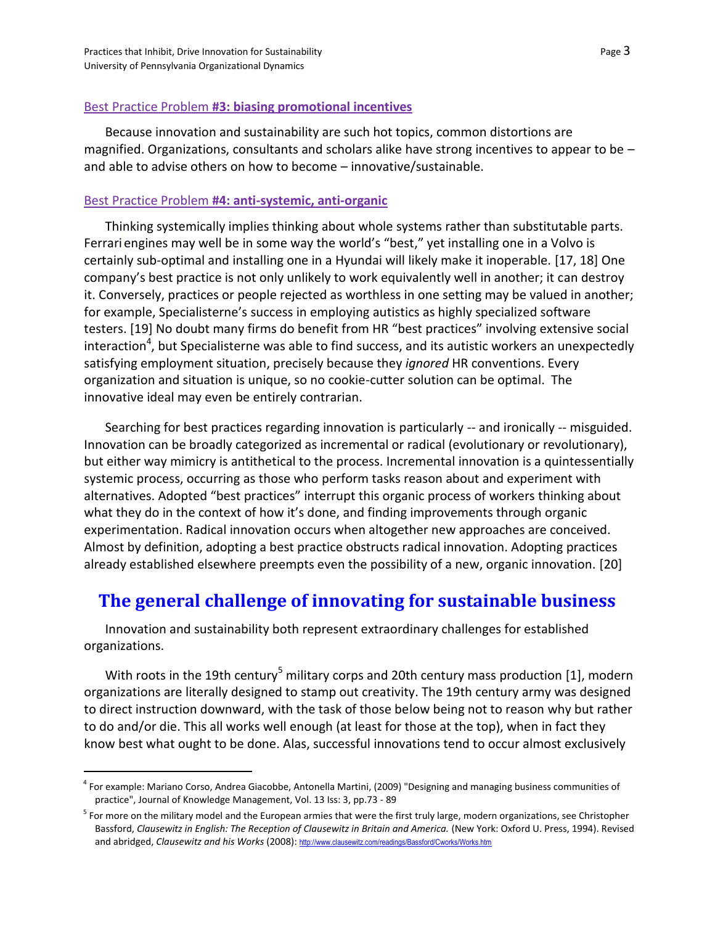$\overline{a}$ 

#### Best Practice Problem **#3: biasing promotional incentives**

Because innovation and sustainability are such hot topics, common distortions are magnified. Organizations, consultants and scholars alike have strong incentives to appear to be – and able to advise others on how to become - innovative/sustainable.

#### Best Practice Problem **#4: anti-systemic, anti-organic**

Thinking systemically implies thinking about whole systems rather than substitutable parts. Ferrari engines may well be in some way the world's "best," yet installing one in a Volvo is certainly sub-optimal and installing one in a Hyundai will likely make it inoperable. [17, 18] One company's best practice is not only unlikely to work equivalently well in another; it can destroy it. Conversely, practices or people rejected as worthless in one setting may be valued in another; for example, Specialisterne's success in employing autistics as highly specialized software testers. [19] No doubt many firms do benefit from HR "best practices" involving extensive social interaction<sup>4</sup>, but Specialisterne was able to find success, and its autistic workers an unexpectedly satisfying employment situation, precisely because they *ignored* HR conventions. Every organization and situation is unique, so no cookie-cutter solution can be optimal. The innovative ideal may even be entirely contrarian.

Searching for best practices regarding innovation is particularly -- and ironically -- misguided. Innovation can be broadly categorized as incremental or radical (evolutionary or revolutionary), but either way mimicry is antithetical to the process. Incremental innovation is a quintessentially systemic process, occurring as those who perform tasks reason about and experiment with alternatives. Adopted "best practices" interrupt this organic process of workers thinking about what they do in the context of how it's done, and finding improvements through organic experimentation. Radical innovation occurs when altogether new approaches are conceived. Almost by definition, adopting a best practice obstructs radical innovation. Adopting practices already established elsewhere preempts even the possibility of a new, organic innovation. [20]

### **The general challenge of innovating for sustainable business**

Innovation and sustainability both represent extraordinary challenges for established organizations.

With roots in the 19th century<sup>5</sup> military corps and 20th century mass production [1], modern organizations are literally designed to stamp out creativity. The 19th century army was designed to direct instruction downward, with the task of those below being not to reason why but rather to do and/or die. This all works well enough (at least for those at the top), when in fact they know best what ought to be done. Alas, successful innovations tend to occur almost exclusively

<sup>&</sup>lt;sup>4</sup> For example: Mariano Corso, Andrea Giacobbe, Antonella Martini, (2009) "Designing and managing business communities of practice", Journal of Knowledge Management, Vol. 13 Iss: 3, pp.73 - 89

<sup>&</sup>lt;sup>5</sup> For more on the military model and the European armies that were the first truly large, modern organizations, see Christopher Bassford, *Clausewitz in English: The Reception of Clausewitz in Britain and America.* (New York: Oxford U. Press, 1994). Revised and abridged, *Clausewitz and his Works* (2008): <http://www.clausewitz.com/readings/Bassford/Cworks/Works.htm>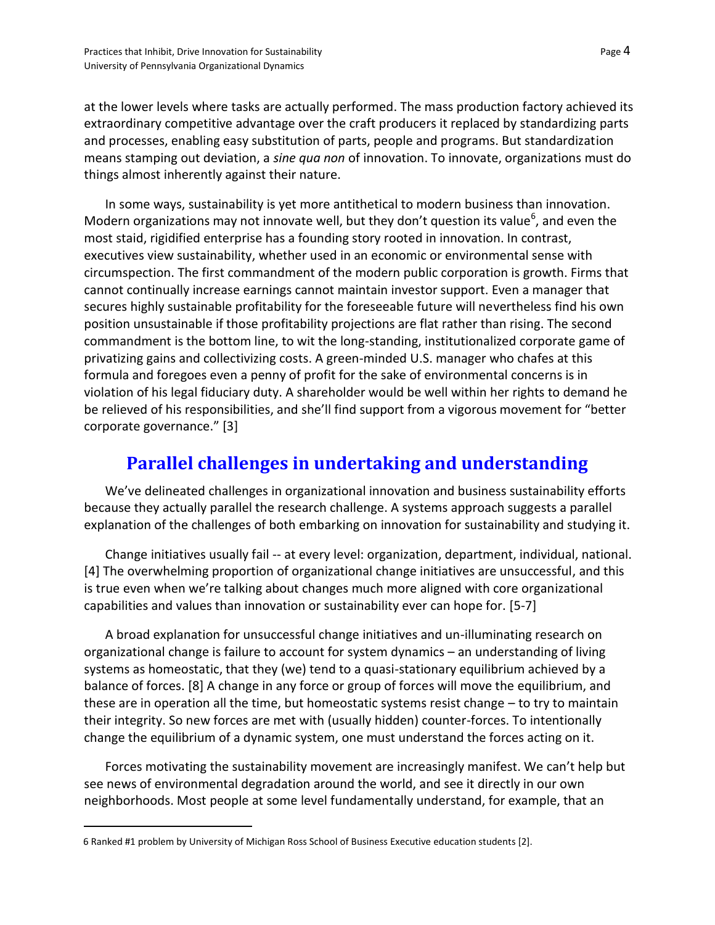at the lower levels where tasks are actually performed. The mass production factory achieved its extraordinary competitive advantage over the craft producers it replaced by standardizing parts and processes, enabling easy substitution of parts, people and programs. But standardization means stamping out deviation, a *sine qua non* of innovation. To innovate, organizations must do things almost inherently against their nature.

In some ways, sustainability is yet more antithetical to modern business than innovation. Modern organizations may not innovate well, but they don't question its value<sup>6</sup>, and even the most staid, rigidified enterprise has a founding story rooted in innovation. In contrast, executives view sustainability, whether used in an economic or environmental sense with circumspection. The first commandment of the modern public corporation is growth. Firms that cannot continually increase earnings cannot maintain investor support. Even a manager that secures highly sustainable profitability for the foreseeable future will nevertheless find his own position unsustainable if those profitability projections are flat rather than rising. The second commandment is the bottom line, to wit the long-standing, institutionalized corporate game of privatizing gains and collectivizing costs. A green-minded U.S. manager who chafes at this formula and foregoes even a penny of profit for the sake of environmental concerns is in violation of his legal fiduciary duty. A shareholder would be well within her rights to demand he be relieved of his responsibilities, and she'll find support from a vigorous movement for "better corporate governance." [3]

### **Parallel challenges in undertaking and understanding**

We've delineated challenges in organizational innovation and business sustainability efforts because they actually parallel the research challenge. A systems approach suggests a parallel explanation of the challenges of both embarking on innovation for sustainability and studying it.

Change initiatives usually fail -- at every level: organization, department, individual, national. [4] The overwhelming proportion of organizational change initiatives are unsuccessful, and this is true even when we're talking about changes much more aligned with core organizational capabilities and values than innovation or sustainability ever can hope for. [5-7]

A broad explanation for unsuccessful change initiatives and un-illuminating research on organizational change is failure to account for system dynamics – an understanding of living systems as homeostatic, that they (we) tend to a quasi-stationary equilibrium achieved by a balance of forces. [8] A change in any force or group of forces will move the equilibrium, and these are in operation all the time, but homeostatic systems resist change – to try to maintain their integrity. So new forces are met with (usually hidden) counter-forces. To intentionally change the equilibrium of a dynamic system, one must understand the forces acting on it.

Forces motivating the sustainability movement are increasingly manifest. We can't help but see news of environmental degradation around the world, and see it directly in our own neighborhoods. Most people at some level fundamentally understand, for example, that an

 $\overline{a}$ 

<sup>6</sup> Ranked #1 problem by University of Michigan Ross School of Business Executive education students [2].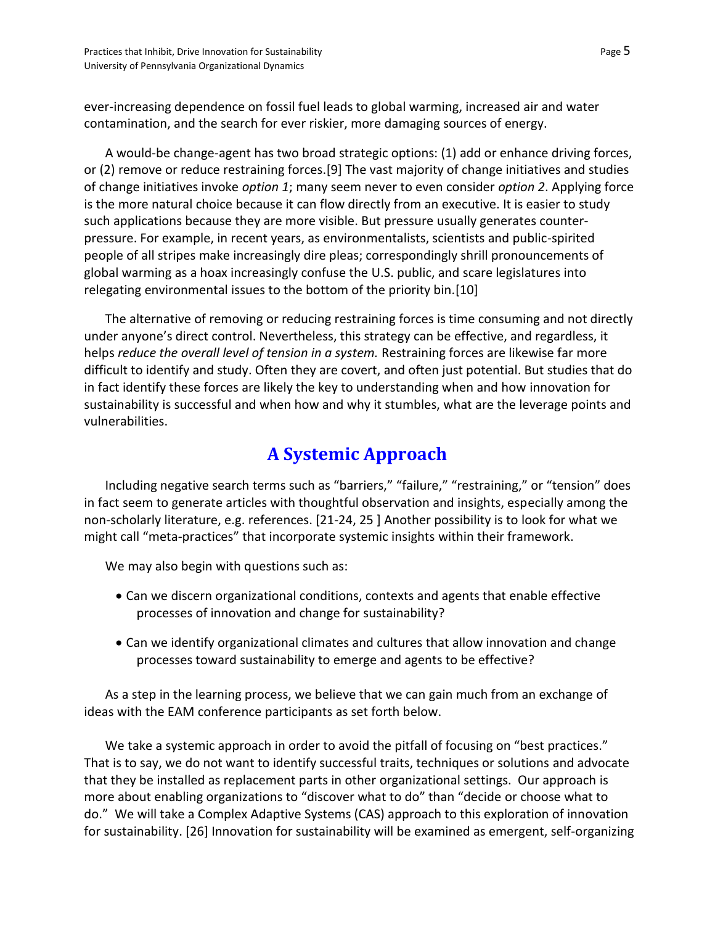ever-increasing dependence on fossil fuel leads to global warming, increased air and water contamination, and the search for ever riskier, more damaging sources of energy.

A would-be change-agent has two broad strategic options: (1) add or enhance driving forces, or (2) remove or reduce restraining forces.[9] The vast majority of change initiatives and studies of change initiatives invoke *option 1*; many seem never to even consider *option 2*. Applying force is the more natural choice because it can flow directly from an executive. It is easier to study such applications because they are more visible. But pressure usually generates counterpressure. For example, in recent years, as environmentalists, scientists and public-spirited people of all stripes make increasingly dire pleas; correspondingly shrill pronouncements of global warming as a hoax increasingly confuse the U.S. public, and scare legislatures into relegating environmental issues to the bottom of the priority bin.[10]

The alternative of removing or reducing restraining forces is time consuming and not directly under anyone's direct control. Nevertheless, this strategy can be effective, and regardless, it helps *reduce the overall level of tension in a system.* Restraining forces are likewise far more difficult to identify and study. Often they are covert, and often just potential. But studies that do in fact identify these forces are likely the key to understanding when and how innovation for sustainability is successful and when how and why it stumbles, what are the leverage points and vulnerabilities.

## **A Systemic Approach**

Including negative search terms such as "barriers," "failure," "restraining," or "tension" does in fact seem to generate articles with thoughtful observation and insights, especially among the non-scholarly literature, e.g. references. [21-24, 25 ] Another possibility is to look for what we might call "meta-practices" that incorporate systemic insights within their framework.

We may also begin with questions such as:

- Can we discern organizational conditions, contexts and agents that enable effective processes of innovation and change for sustainability?
- Can we identify organizational climates and cultures that allow innovation and change processes toward sustainability to emerge and agents to be effective?

As a step in the learning process, we believe that we can gain much from an exchange of ideas with the EAM conference participants as set forth below.

We take a systemic approach in order to avoid the pitfall of focusing on "best practices." That is to say, we do not want to identify successful traits, techniques or solutions and advocate that they be installed as replacement parts in other organizational settings. Our approach is more about enabling organizations to "discover what to do" than "decide or choose what to do." We will take a Complex Adaptive Systems (CAS) approach to this exploration of innovation for sustainability. [26] Innovation for sustainability will be examined as emergent, self-organizing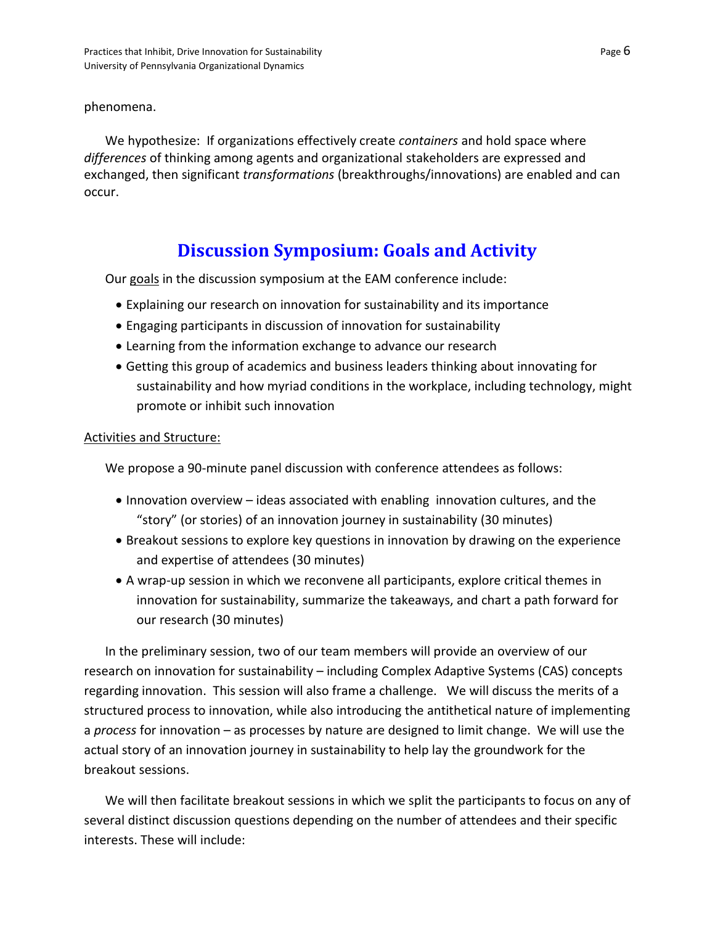#### phenomena.

We hypothesize: If organizations effectively create *containers* and hold space where *differences* of thinking among agents and organizational stakeholders are expressed and exchanged, then significant *transformations* (breakthroughs/innovations) are enabled and can occur.

### **Discussion Symposium: Goals and Activity**

Our goals in the discussion symposium at the EAM conference include:

- Explaining our research on innovation for sustainability and its importance
- Engaging participants in discussion of innovation for sustainability
- Learning from the information exchange to advance our research
- Getting this group of academics and business leaders thinking about innovating for sustainability and how myriad conditions in the workplace, including technology, might promote or inhibit such innovation

#### Activities and Structure:

We propose a 90-minute panel discussion with conference attendees as follows:

- Innovation overview ideas associated with enabling innovation cultures, and the "story" (or stories) of an innovation journey in sustainability (30 minutes)
- Breakout sessions to explore key questions in innovation by drawing on the experience and expertise of attendees (30 minutes)
- A wrap-up session in which we reconvene all participants, explore critical themes in innovation for sustainability, summarize the takeaways, and chart a path forward for our research (30 minutes)

In the preliminary session, two of our team members will provide an overview of our research on innovation for sustainability – including Complex Adaptive Systems (CAS) concepts regarding innovation. This session will also frame a challenge. We will discuss the merits of a structured process to innovation, while also introducing the antithetical nature of implementing a *process* for innovation – as processes by nature are designed to limit change. We will use the actual story of an innovation journey in sustainability to help lay the groundwork for the breakout sessions.

We will then facilitate breakout sessions in which we split the participants to focus on any of several distinct discussion questions depending on the number of attendees and their specific interests. These will include: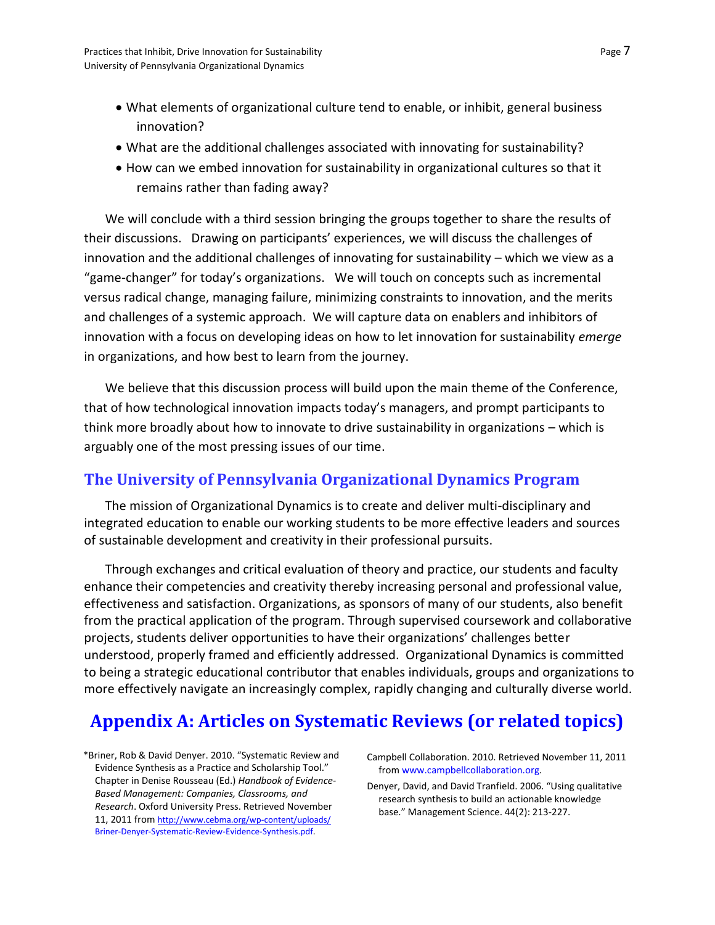- What elements of organizational culture tend to enable, or inhibit, general business innovation?
- What are the additional challenges associated with innovating for sustainability?
- How can we embed innovation for sustainability in organizational cultures so that it remains rather than fading away?

We will conclude with a third session bringing the groups together to share the results of their discussions. Drawing on participants' experiences, we will discuss the challenges of innovation and the additional challenges of innovating for sustainability – which we view as a "game-changer" for today's organizations. We will touch on concepts such as incremental versus radical change, managing failure, minimizing constraints to innovation, and the merits and challenges of a systemic approach. We will capture data on enablers and inhibitors of innovation with a focus on developing ideas on how to let innovation for sustainability *emerge* in organizations, and how best to learn from the journey.

We believe that this discussion process will build upon the main theme of the Conference, that of how technological innovation impacts today's managers, and prompt participants to think more broadly about how to innovate to drive sustainability in organizations – which is arguably one of the most pressing issues of our time.

### **The University of Pennsylvania Organizational Dynamics Program**

The mission of Organizational Dynamics is to create and deliver multi-disciplinary and integrated education to enable our working students to be more effective leaders and sources of sustainable development and creativity in their professional pursuits.

Through exchanges and critical evaluation of theory and practice, our students and faculty enhance their competencies and creativity thereby increasing personal and professional value, effectiveness and satisfaction. Organizations, as sponsors of many of our students, also benefit from the practical application of the program. Through supervised coursework and collaborative projects, students deliver opportunities to have their organizations' challenges better understood, properly framed and efficiently addressed. Organizational Dynamics is committed to being a strategic educational contributor that enables individuals, groups and organizations to more effectively navigate an increasingly complex, rapidly changing and culturally diverse world.

### **Appendix A: Articles on Systematic Reviews (or related topics)**

\*Briner, Rob & David Denyer. 2010. "Systematic Review and Evidence Synthesis as a Practice and Scholarship Tool." Chapter in Denise Rousseau (Ed.) *Handbook of Evidence-Based Management: Companies, Classrooms, and Research*. Oxford University Press. Retrieved November 11, 2011 from <http://www.cebma.org/wp-content/uploads/> Briner-Denyer-Systematic-Review-Evidence-Synthesis.pdf.

Campbell Collaboration. 2010. Retrieved November 11, 2011 from www.campbellcollaboration.org.

Denyer, David, and David Tranfield. 2006. "Using qualitative research synthesis to build an actionable knowledge base." Management Science. 44(2): 213-227.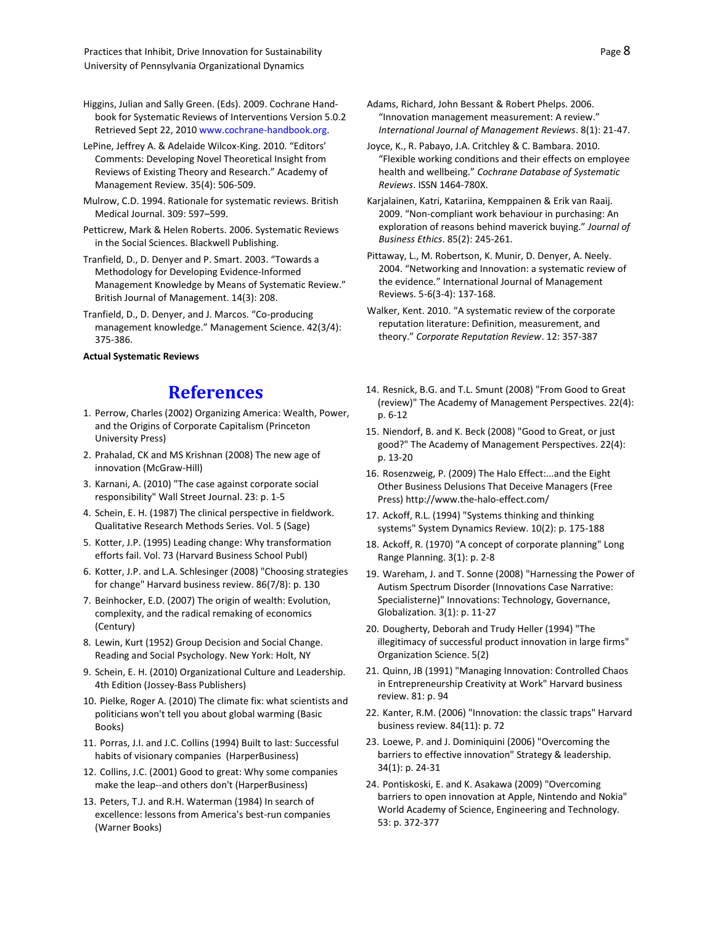Higgins, Julian and Sally Green. (Eds). 2009. Cochrane Handbook for Systematic Reviews of Interventions Version 5.0.2 Retrieved Sept 22, 2010 www.cochrane-handbook.org.

LePine, Jeffrey A. & Adelaide Wilcox-King. 2010. "Editors' Comments: Developing Novel Theoretical Insight from Reviews of Existing Theory and Research." Academy of Management Review. 35(4): 506-509.

Mulrow, C.D. 1994. Rationale for systematic reviews. British Medical Journal. 309: 597–599.

- Petticrew, Mark & Helen Roberts. 2006. Systematic Reviews in the Social Sciences. Blackwell Publishing.
- Tranfield, D., D. Denyer and P. Smart. 2003. "Towards a Methodology for Developing Evidence-Informed Management Knowledge by Means of Systematic Review." British Journal of Management. 14(3): 208.
- Tranfield, D., D. Denyer, and J. Marcos. "Co-producing management knowledge." Management Science. 42(3/4): 375-386.

**Actual Systematic Reviews** 

### **References**

- 1. Perrow, Charles (2002) Organizing America: Wealth, Power, and the Origins of Corporate Capitalism (Princeton University Press)
- 2. Prahalad, CK and MS Krishnan (2008) The new age of innovation (McGraw-Hill)
- 3. Karnani, A. (2010) "The case against corporate social responsibility" Wall Street Journal. 23: p. 1-5
- 4. Schein, E. H. (1987) The clinical perspective in fieldwork. Qualitative Research Methods Series. Vol. 5 (Sage)
- 5. Kotter, J.P. (1995) Leading change: Why transformation efforts fail. Vol. 73 (Harvard Business School Publ)
- 6. Kotter, J.P. and L.A. Schlesinger (2008) "Choosing strategies for change" Harvard business review. 86(7/8): p. 130
- 7. Beinhocker, E.D. (2007) The origin of wealth: Evolution, complexity, and the radical remaking of economics (Century)
- 8. Lewin, Kurt (1952) Group Decision and Social Change. Reading and Social Psychology. New York: Holt, NY
- 9. Schein, E. H. (2010) Organizational Culture and Leadership. 4th Edition (Jossey-Bass Publishers)
- 10. Pielke, Roger A. (2010) The climate fix: what scientists and politicians won't tell you about global warming (Basic Books)
- 11. Porras, J.I. and J.C. Collins (1994) Built to last: Successful habits of visionary companies (HarperBusiness)
- 12. Collins, J.C. (2001) Good to great: Why some companies make the leap--and others don't (HarperBusiness)
- 13. Peters, T.J. and R.H. Waterman (1984) In search of excellence: lessons from America's best-run companies (Warner Books)
- Adams, Richard, John Bessant & Robert Phelps. 2006. "Innovation management measurement: A review." *International Journal of Management Reviews*. 8(1): 21-47.
- Joyce, K., R. Pabayo, J.A. Critchley & C. Bambara. 2010. "Flexible working conditions and their effects on employee health and wellbeing." *Cochrane Database of Systematic Reviews*. ISSN 1464-780X.
- Karjalainen, Katri, Katariina, Kemppainen & Erik van Raaij. 2009. "Non-compliant work behaviour in purchasing: An exploration of reasons behind maverick buying." *Journal of Business Ethics*. 85(2): 245-261.
- Pittaway, L., M. Robertson, K. Munir, D. Denyer, A. Neely. 2004. "Networking and Innovation: a systematic review of the evidence." International Journal of Management Reviews. 5-6(3-4): 137-168.
- Walker, Kent. 2010. "A systematic review of the corporate reputation literature: Definition, measurement, and theory." *Corporate Reputation Review*. 12: 357-387
- 14. Resnick, B.G. and T.L. Smunt (2008) "From Good to Great (review)" The Academy of Management Perspectives. 22(4): p. 6-12
- 15. Niendorf, B. and K. Beck (2008) "Good to Great, or just good?" The Academy of Management Perspectives. 22(4): p. 13-20
- 16. Rosenzweig, P. (2009) The Halo Effect:...and the Eight Other Business Delusions That Deceive Managers (Free Press[\) http://www.the-halo-effect.com/](http://www.the-halo-effect.com/)
- 17. Ackoff, R.L. (1994) "Systems thinking and thinking systems" System Dynamics Review. 10(2): p. 175-188
- 18. Ackoff, R. (1970) "A concept of corporate planning" Long Range Planning. 3(1): p. 2-8
- 19. Wareham, J. and T. Sonne (2008) "Harnessing the Power of Autism Spectrum Disorder (Innovations Case Narrative: Specialisterne)" Innovations: Technology, Governance, Globalization. 3(1): p. 11-27
- 20. Dougherty, Deborah and Trudy Heller (1994) "The illegitimacy of successful product innovation in large firms" Organization Science. 5(2)
- 21. Quinn, JB (1991) "Managing Innovation: Controlled Chaos in Entrepreneurship Creativity at Work" Harvard business review. 81: p. 94
- 22. Kanter, R.M. (2006) "Innovation: the classic traps" Harvard business review. 84(11): p. 72
- 23. Loewe, P. and J. Dominiquini (2006) "Overcoming the barriers to effective innovation" Strategy & leadership. 34(1): p. 24-31
- 24. Pontiskoski, E. and K. Asakawa (2009) "Overcoming barriers to open innovation at Apple, Nintendo and Nokia" World Academy of Science, Engineering and Technology. 53: p. 372-377